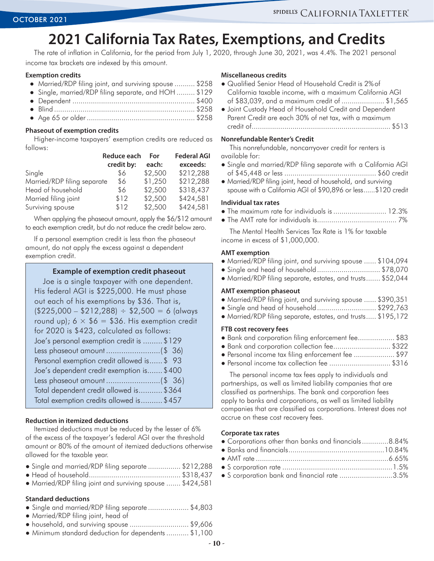# **2021 California Tax Rates, Exemptions, and Credits**

The rate of inflation in California, for the period from July 1, 2020, through June 30, 2021, was 4.4%. The 2021 personal income tax brackets are indexed by this amount.

#### **Exemption credits**

- Married/RDP filing joint, and surviving spouse .......... \$258
- Single, married/RDP filing separate, and HOH.......... \$129
- Dependent............................................................. \$400
- Blind...................................................................... \$258
- Age 65 or older...................................................... \$258

#### **Phaseout of exemption credits**

Higher-income taxpayers' exemption credits are reduced as follows:

|                             | Reduce each | For     | <b>Federal AGI</b> |  |  |
|-----------------------------|-------------|---------|--------------------|--|--|
|                             | credit by:  | each:   | exceeds:           |  |  |
| Single                      | \$6         | \$2,500 | \$212,288          |  |  |
| Married/RDP filing separate | \$6         | \$1,250 | \$212,288          |  |  |
| Head of household           | \$6         | \$2,500 | \$318,437          |  |  |
| Married filing joint        | \$12        | \$2,500 | \$424,581          |  |  |
| Surviving spouse            | \$12        | \$2,500 | \$424,581          |  |  |

When applying the phaseout amount, apply the \$6/\$12 amount to each exemption credit, but do not reduce the credit below zero.

If a personal exemption credit is less than the phaseout amount, do not apply the excess against a dependent exemption credit.

### **Example of exemption credit phaseout**

Joe is a single taxpayer with one dependent. His federal AGI is \$225,000. He must phase out each of his exemptions by \$36. That is,  $($225,000 - $212,288) \div $2,500 = 6$  (always round up);  $6 \times $6 = $36$ . His exemption credit for 2020 is \$423, calculated as follows: Joe's personal exemption credit is..........\$129 Less phaseout amount..........................(\$ 36) Personal exemption credit allowed is.......\$ 93 Joe's dependent credit exemption is........\$400 Less phaseout amount..........................(\$ 36) Total dependent credit allowed is............\$364 Total exemption credits allowed is.......... \$457

#### **Reduction in itemized deductions**

Itemized deductions must be reduced by the lesser of 6% of the excess of the taxpayer's federal AGI over the threshold amount or 80% of the amount of itemized deductions otherwise allowed for the taxable year.

|  |  |  |  | • Single and married/RDP filing separate  \$212,288 |  |  |  |
|--|--|--|--|-----------------------------------------------------|--|--|--|
|--|--|--|--|-----------------------------------------------------|--|--|--|

- Head of household.............................................. \$318,437
- Married/RDP filing joint and surviving spouse........ \$424,581

#### **Standard deductions**

- Single and married/RDP filing separate..................... \$4,803
- Married/RDP filing joint, head of
- household, and surviving spouse.............................. \$9,606
- Minimum standard deduction for dependents............ \$1,100

#### **Miscellaneous credits**

- Qualified Senior Head of Household Credit is 2%of California taxable income, with a maximum California AGI of \$83,039, and a maximum credit of...................... \$1,565
- Joint Custody Head of Household Credit and Dependent Parent Credit are each 30% of net tax, with a maximum credit of..................................................................... \$513

#### **Nonrefundable Renter's Credit**

This nonrefundable, noncarryover credit for renters is available for:

- Single and married/RDP filing separate with a California AGI of \$45,448 or less.............................................. \$60 credit
- Married/RDP filing joint, head of household, and surviving spouse with a California AGI of \$90,896 or less.......\$120 credit

#### **Individual tax rates**

- The maximum rate for individuals is........................... 12.3%
- The AMT rate for individuals is........................................ 7%

The Mental Health Services Tax Rate is 1% for taxable income in excess of \$1,000,000.

#### **AMT exemption**

- Married/RDP filing joint, and surviving spouse....... \$104,094
- Single and head of household................................ \$78,070
- Married/RDP filing separate, estates, and trusts........ \$52,044

### **AMT exemption phaseout**

- Married/RDP filing joint, and surviving spouse....... \$390,351
- Single and head of household.............................. \$292,763
- Married/RDP filing separate, estates, and trusts...... \$195,172

#### **FTB cost recovery fees**

- Bank and corporation filing enforcement fee................... \$83
- Bank and corporation collection fee............................. \$322
- Personal income tax filing enforcement fee..................... \$97
- Personal income tax collection fee............................... \$316

The personal income tax fees apply to individuals and partnerships, as well as limited liability companies that are classified as partnerships. The bank and corporation fees apply to banks and corporations, as well as limited liability companies that are classified as corporations. Interest does not accrue on these cost recovery fees.

#### **Corporate tax rates**

| • Corporations other than banks and financials8.84% |  |
|-----------------------------------------------------|--|
|                                                     |  |
|                                                     |  |
|                                                     |  |
| • S corporation bank and financial rate 3.5%        |  |